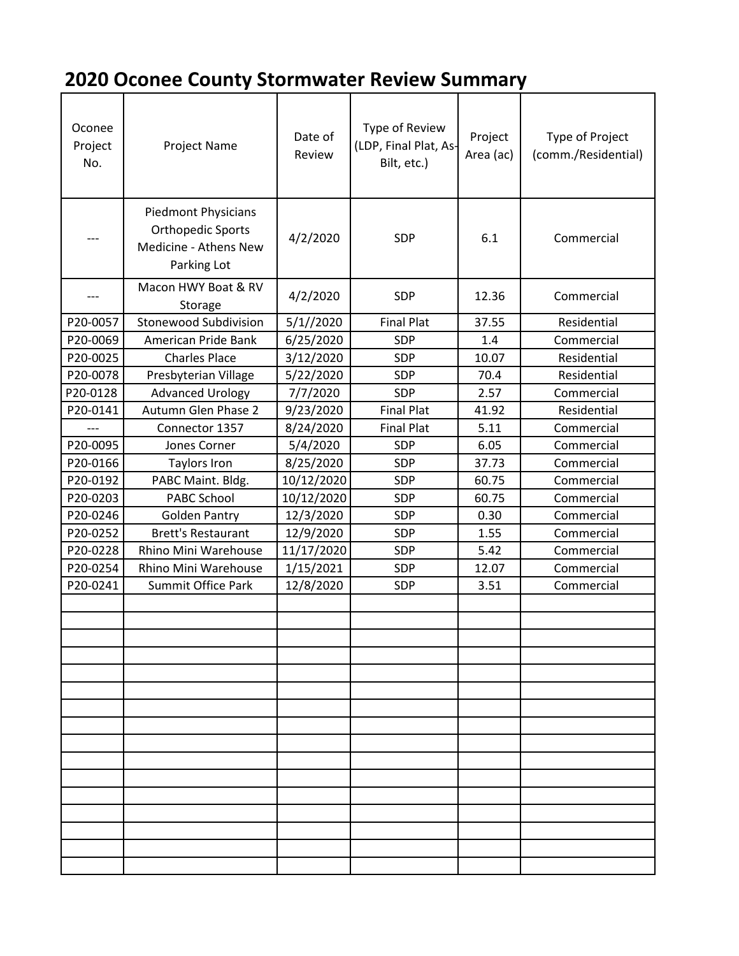## **2020 Oconee County Stormwater Review Summary**

| Oconee<br>Project<br>No. | Project Name                                                                                   | Date of<br>Review | Type of Review<br>(LDP, Final Plat, As-<br>Bilt, etc.) | Project<br>Area (ac) | Type of Project<br>(comm./Residential) |
|--------------------------|------------------------------------------------------------------------------------------------|-------------------|--------------------------------------------------------|----------------------|----------------------------------------|
|                          | <b>Piedmont Physicians</b><br><b>Orthopedic Sports</b><br>Medicine - Athens New<br>Parking Lot | 4/2/2020          | SDP                                                    | 6.1                  | Commercial                             |
|                          | Macon HWY Boat & RV<br>Storage                                                                 | 4/2/2020          | <b>SDP</b>                                             | 12.36                | Commercial                             |
| P20-0057                 | <b>Stonewood Subdivision</b>                                                                   | 5/1//2020         | <b>Final Plat</b>                                      | 37.55                | Residential                            |
| P20-0069                 | American Pride Bank                                                                            | 6/25/2020         | <b>SDP</b>                                             | 1.4                  | Commercial                             |
| P20-0025                 | <b>Charles Place</b>                                                                           | 3/12/2020         | <b>SDP</b>                                             | 10.07                | Residential                            |
| P20-0078                 | Presbyterian Village                                                                           | 5/22/2020         | SDP                                                    | 70.4                 | Residential                            |
| P20-0128                 | <b>Advanced Urology</b>                                                                        | 7/7/2020          | SDP                                                    | 2.57                 | Commercial                             |
| P20-0141                 | Autumn Glen Phase 2                                                                            | 9/23/2020         | <b>Final Plat</b>                                      | 41.92                | Residential                            |
|                          | Connector 1357                                                                                 | 8/24/2020         | <b>Final Plat</b>                                      | 5.11                 | Commercial                             |
| P20-0095                 | Jones Corner                                                                                   | 5/4/2020          | SDP                                                    | 6.05                 | Commercial                             |
| P20-0166                 | <b>Taylors Iron</b>                                                                            | 8/25/2020         | <b>SDP</b>                                             | 37.73                | Commercial                             |
| P20-0192                 | PABC Maint. Bldg.                                                                              | 10/12/2020        | SDP                                                    | 60.75                | Commercial                             |
| P20-0203                 | PABC School                                                                                    | 10/12/2020        | SDP                                                    | 60.75                | Commercial                             |
| P20-0246                 | <b>Golden Pantry</b>                                                                           | 12/3/2020         | <b>SDP</b>                                             | 0.30                 | Commercial                             |
| P20-0252                 | <b>Brett's Restaurant</b>                                                                      | 12/9/2020         | SDP                                                    | 1.55                 | Commercial                             |
| P20-0228                 | Rhino Mini Warehouse                                                                           | 11/17/2020        | SDP                                                    | 5.42                 | Commercial                             |
| P20-0254                 | Rhino Mini Warehouse                                                                           | 1/15/2021         | SDP                                                    | 12.07                | Commercial                             |
| P20-0241                 | Summit Office Park                                                                             | 12/8/2020         | <b>SDP</b>                                             | 3.51                 | Commercial                             |
|                          |                                                                                                |                   |                                                        |                      |                                        |
|                          |                                                                                                |                   |                                                        |                      |                                        |
|                          |                                                                                                |                   |                                                        |                      |                                        |
|                          |                                                                                                |                   |                                                        |                      |                                        |
|                          |                                                                                                |                   |                                                        |                      |                                        |
|                          |                                                                                                |                   |                                                        |                      |                                        |
|                          |                                                                                                |                   |                                                        |                      |                                        |
|                          |                                                                                                |                   |                                                        |                      |                                        |
|                          |                                                                                                |                   |                                                        |                      |                                        |
|                          |                                                                                                |                   |                                                        |                      |                                        |
|                          |                                                                                                |                   |                                                        |                      |                                        |
|                          |                                                                                                |                   |                                                        |                      |                                        |
|                          |                                                                                                |                   |                                                        |                      |                                        |
|                          |                                                                                                |                   |                                                        |                      |                                        |
|                          |                                                                                                |                   |                                                        |                      |                                        |
|                          |                                                                                                |                   |                                                        |                      |                                        |